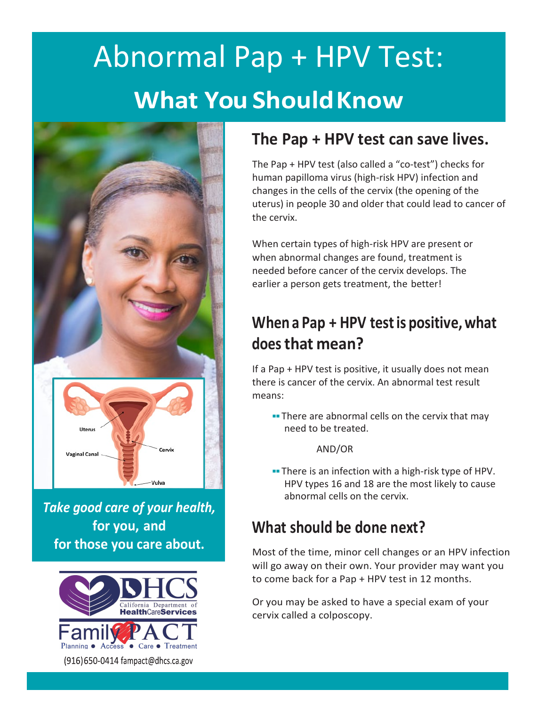# Abnormal Pap + HPV Test: **What You ShouldKnow**



*Take good care of your health,* **for you, and for those you care about.**



#### **The Pap + HPV test can save lives.**

The Pap + HPV test (also called a "co-test") checks for human papilloma virus (high-risk HPV) infection and changes in the cells of the cervix (the opening of the uterus) in people 30 and older that could lead to cancer of the cervix.

When certain types of high-risk HPV are present or when abnormal changes are found, treatment is needed before cancer of the cervix develops. The earlier a person gets treatment, the better!

## **When a Pap + HPV testis positive, what does that mean?**

If a Pap + HPV test is positive, it usually does not mean there is cancer of the cervix. An abnormal test result means:

**■** There are abnormal cells on the cervix that may need to be treated.

AND/OR

■■ There is an infection with a high-risk type of HPV. HPV types 16 and 18 are the most likely to cause abnormal cells on the cervix.

#### **What should be done next?**

Most of the time, minor cell changes or an HPV infection will go away on their own. Your provider may want you to come back for a Pap + HPV test in 12 months.

Or you may be asked to have a special exam of your cervix called a colposcopy.